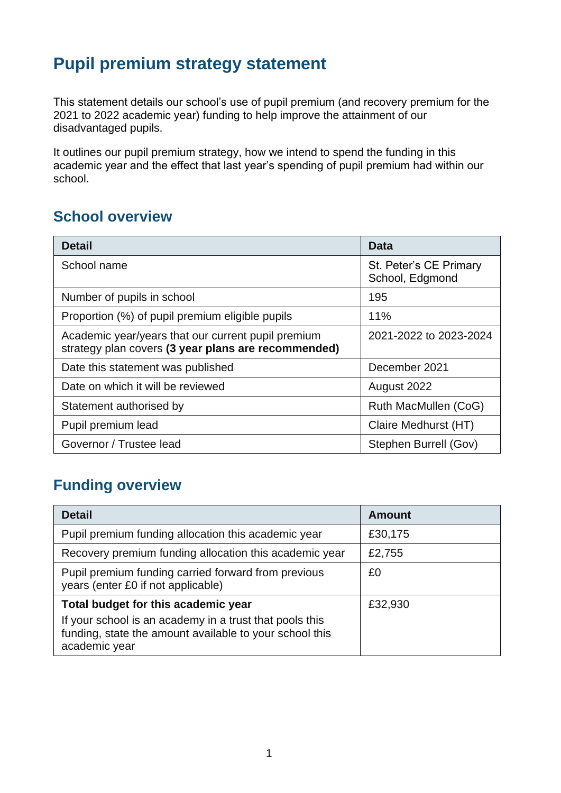# **Pupil premium strategy statement**

This statement details our school's use of pupil premium (and recovery premium for the 2021 to 2022 academic year) funding to help improve the attainment of our disadvantaged pupils.

It outlines our pupil premium strategy, how we intend to spend the funding in this academic year and the effect that last year's spending of pupil premium had within our school.

### **School overview**

| <b>Detail</b>                                                                                             | Data                                      |
|-----------------------------------------------------------------------------------------------------------|-------------------------------------------|
| School name                                                                                               | St. Peter's CE Primary<br>School, Edgmond |
| Number of pupils in school                                                                                | 195                                       |
| Proportion (%) of pupil premium eligible pupils                                                           | 11%                                       |
| Academic year/years that our current pupil premium<br>strategy plan covers (3 year plans are recommended) | 2021-2022 to 2023-2024                    |
| Date this statement was published                                                                         | December 2021                             |
| Date on which it will be reviewed                                                                         | August 2022                               |
| Statement authorised by                                                                                   | Ruth MacMullen (CoG)                      |
| Pupil premium lead                                                                                        | Claire Medhurst (HT)                      |
| Governor / Trustee lead                                                                                   | Stephen Burrell (Gov)                     |

## **Funding overview**

| <b>Detail</b>                                                                                                                       | <b>Amount</b> |
|-------------------------------------------------------------------------------------------------------------------------------------|---------------|
| Pupil premium funding allocation this academic year                                                                                 | £30,175       |
| Recovery premium funding allocation this academic year                                                                              | £2,755        |
| Pupil premium funding carried forward from previous<br>years (enter £0 if not applicable)                                           | £0            |
| Total budget for this academic year                                                                                                 | £32,930       |
| If your school is an academy in a trust that pools this<br>funding, state the amount available to your school this<br>academic year |               |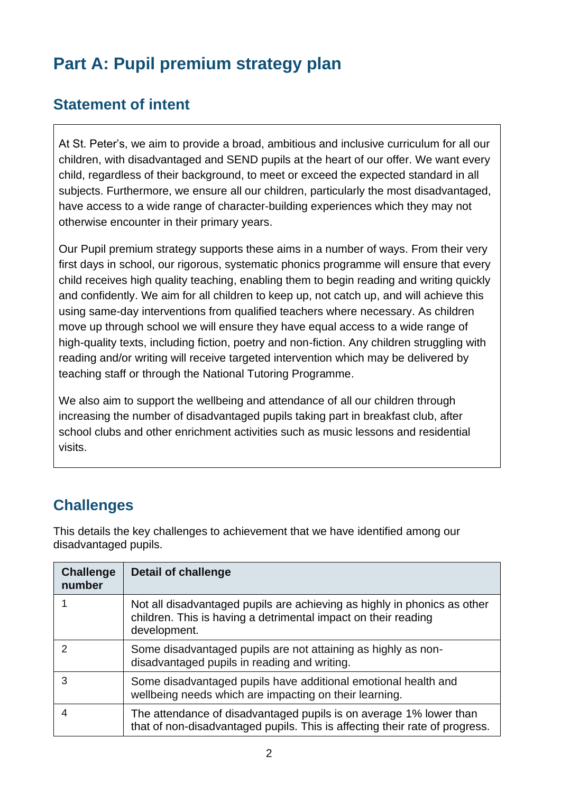# **Part A: Pupil premium strategy plan**

## **Statement of intent**

At St. Peter's, we aim to provide a broad, ambitious and inclusive curriculum for all our children, with disadvantaged and SEND pupils at the heart of our offer. We want every child, regardless of their background, to meet or exceed the expected standard in all subjects. Furthermore, we ensure all our children, particularly the most disadvantaged, have access to a wide range of character-building experiences which they may not otherwise encounter in their primary years.

Our Pupil premium strategy supports these aims in a number of ways. From their very first days in school, our rigorous, systematic phonics programme will ensure that every child receives high quality teaching, enabling them to begin reading and writing quickly and confidently. We aim for all children to keep up, not catch up, and will achieve this using same-day interventions from qualified teachers where necessary. As children move up through school we will ensure they have equal access to a wide range of high-quality texts, including fiction, poetry and non-fiction. Any children struggling with reading and/or writing will receive targeted intervention which may be delivered by teaching staff or through the National Tutoring Programme.

We also aim to support the wellbeing and attendance of all our children through increasing the number of disadvantaged pupils taking part in breakfast club, after school clubs and other enrichment activities such as music lessons and residential visits.

# **Challenges**

This details the key challenges to achievement that we have identified among our disadvantaged pupils.

| <b>Challenge</b><br>number | <b>Detail of challenge</b>                                                                                                                                 |
|----------------------------|------------------------------------------------------------------------------------------------------------------------------------------------------------|
|                            | Not all disadvantaged pupils are achieving as highly in phonics as other<br>children. This is having a detrimental impact on their reading<br>development. |
| 2                          | Some disadvantaged pupils are not attaining as highly as non-<br>disadvantaged pupils in reading and writing.                                              |
| 3                          | Some disadvantaged pupils have additional emotional health and<br>wellbeing needs which are impacting on their learning.                                   |
|                            | The attendance of disadvantaged pupils is on average 1% lower than<br>that of non-disadvantaged pupils. This is affecting their rate of progress.          |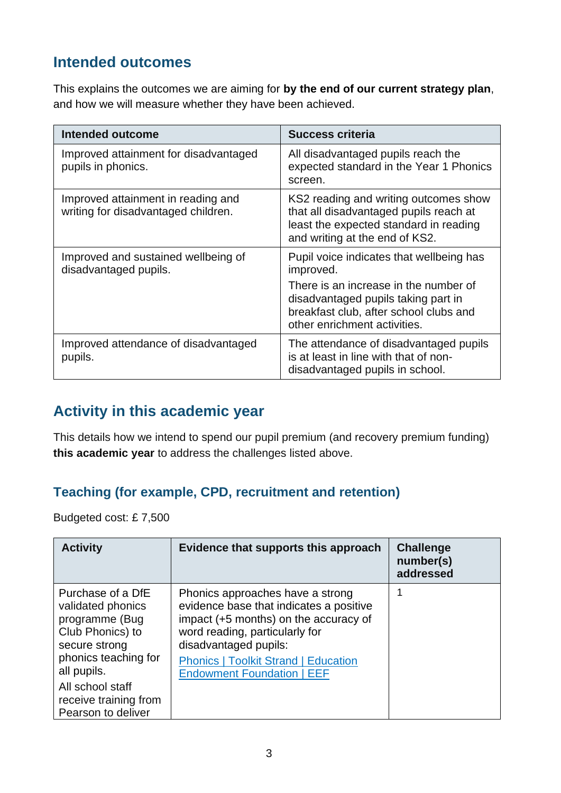## **Intended outcomes**

This explains the outcomes we are aiming for **by the end of our current strategy plan**, and how we will measure whether they have been achieved.

| <b>Intended outcome</b>                                                   | <b>Success criteria</b>                                                                                                                                     |
|---------------------------------------------------------------------------|-------------------------------------------------------------------------------------------------------------------------------------------------------------|
| Improved attainment for disadvantaged<br>pupils in phonics.               | All disadvantaged pupils reach the<br>expected standard in the Year 1 Phonics<br>screen.                                                                    |
| Improved attainment in reading and<br>writing for disadvantaged children. | KS2 reading and writing outcomes show<br>that all disadvantaged pupils reach at<br>least the expected standard in reading<br>and writing at the end of KS2. |
| Improved and sustained wellbeing of<br>disadvantaged pupils.              | Pupil voice indicates that wellbeing has<br>improved.                                                                                                       |
|                                                                           | There is an increase in the number of<br>disadvantaged pupils taking part in<br>breakfast club, after school clubs and<br>other enrichment activities.      |
| Improved attendance of disadvantaged<br>pupils.                           | The attendance of disadvantaged pupils<br>is at least in line with that of non-<br>disadvantaged pupils in school.                                          |

## **Activity in this academic year**

This details how we intend to spend our pupil premium (and recovery premium funding) **this academic year** to address the challenges listed above.

#### **Teaching (for example, CPD, recruitment and retention)**

Budgeted cost: £ 7,500

| <b>Activity</b>                                                                                                       | Evidence that supports this approach                                                                                                                                                                                           | <b>Challenge</b><br>number(s)<br>addressed |
|-----------------------------------------------------------------------------------------------------------------------|--------------------------------------------------------------------------------------------------------------------------------------------------------------------------------------------------------------------------------|--------------------------------------------|
| Purchase of a DfE<br>validated phonics<br>programme (Bug<br>Club Phonics) to<br>secure strong<br>phonics teaching for | Phonics approaches have a strong<br>evidence base that indicates a positive<br>impact (+5 months) on the accuracy of<br>word reading, particularly for<br>disadvantaged pupils:<br><b>Phonics   Toolkit Strand   Education</b> |                                            |
| all pupils.<br>All school staff<br>receive training from                                                              | <b>Endowment Foundation   EEF</b>                                                                                                                                                                                              |                                            |
| Pearson to deliver                                                                                                    |                                                                                                                                                                                                                                |                                            |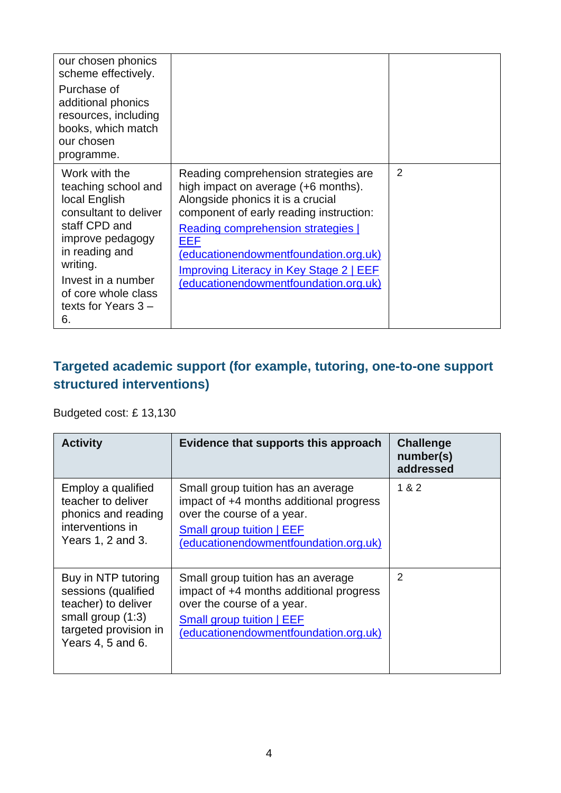| our chosen phonics<br>scheme effectively.<br>Purchase of<br>additional phonics<br>resources, including<br>books, which match<br>our chosen<br>programme.                                                                      |                                                                                                                                                                                                                                                                                                                                       |                |
|-------------------------------------------------------------------------------------------------------------------------------------------------------------------------------------------------------------------------------|---------------------------------------------------------------------------------------------------------------------------------------------------------------------------------------------------------------------------------------------------------------------------------------------------------------------------------------|----------------|
| Work with the<br>teaching school and<br>local English<br>consultant to deliver<br>staff CPD and<br>improve pedagogy<br>in reading and<br>writing.<br>Invest in a number<br>of core whole class<br>texts for Years $3 -$<br>6. | Reading comprehension strategies are<br>high impact on average (+6 months).<br>Alongside phonics it is a crucial<br>component of early reading instruction:<br>Reading comprehension strategies  <br>EEF<br>(educationendowmentfoundation.org.uk)<br>Improving Literacy in Key Stage 2   EEF<br>(educationendowmentfoundation.org.uk) | $\overline{2}$ |

### **Targeted academic support (for example, tutoring, one-to-one support structured interventions)**

Budgeted cost: £ 13,130

| <b>Activity</b>                                                                                                                        | Evidence that supports this approach                                                                                                                                              | <b>Challenge</b><br>number(s)<br>addressed |
|----------------------------------------------------------------------------------------------------------------------------------------|-----------------------------------------------------------------------------------------------------------------------------------------------------------------------------------|--------------------------------------------|
| Employ a qualified<br>teacher to deliver<br>phonics and reading<br>interventions in<br>Years 1, 2 and 3.                               | Small group tuition has an average<br>impact of +4 months additional progress<br>over the course of a year.<br>Small group tuition   EEF<br>(educationendowmentfoundation.org.uk) | 1 & 2                                      |
| Buy in NTP tutoring<br>sessions (qualified<br>teacher) to deliver<br>small group $(1:3)$<br>targeted provision in<br>Years 4, 5 and 6. | Small group tuition has an average<br>impact of +4 months additional progress<br>over the course of a year.<br>Small group tuition   EEF<br>(educationendowmentfoundation.org.uk) | 2                                          |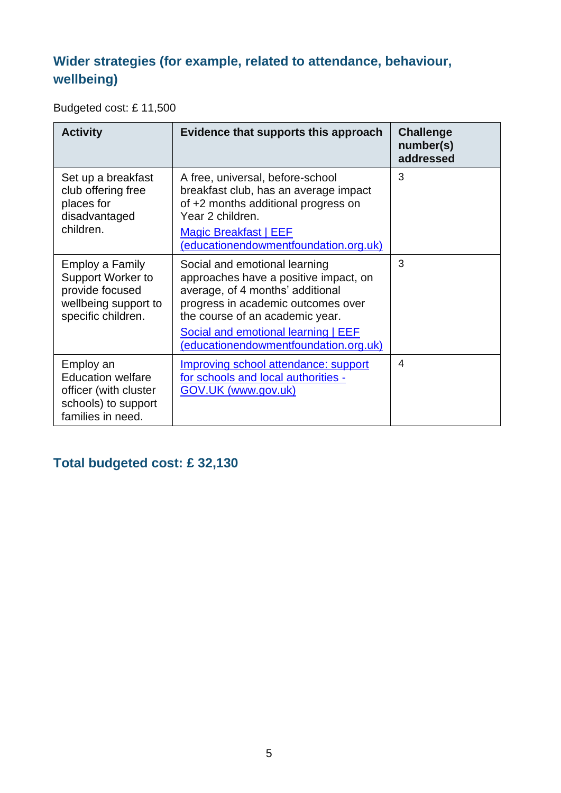## **Wider strategies (for example, related to attendance, behaviour, wellbeing)**

Budgeted cost: £ 11,500

| <b>Activity</b>                                                                                              | Evidence that supports this approach                                                                                                                                                                                                                                | <b>Challenge</b><br>number(s)<br>addressed |
|--------------------------------------------------------------------------------------------------------------|---------------------------------------------------------------------------------------------------------------------------------------------------------------------------------------------------------------------------------------------------------------------|--------------------------------------------|
| Set up a breakfast<br>club offering free<br>places for<br>disadvantaged<br>children.                         | A free, universal, before-school<br>breakfast club, has an average impact<br>of +2 months additional progress on<br>Year 2 children.<br><b>Magic Breakfast   EEF</b><br>(educationendowmentfoundation.org.uk)                                                       | 3                                          |
| <b>Employ a Family</b><br>Support Worker to<br>provide focused<br>wellbeing support to<br>specific children. | Social and emotional learning<br>approaches have a positive impact, on<br>average, of 4 months' additional<br>progress in academic outcomes over<br>the course of an academic year.<br>Social and emotional learning   EEF<br>(educationendowmentfoundation.org.uk) | 3                                          |
| Employ an<br><b>Education welfare</b><br>officer (with cluster<br>schools) to support<br>families in need.   | Improving school attendance: support<br>for schools and local authorities -<br>GOV.UK (www.gov.uk)                                                                                                                                                                  | 4                                          |

## **Total budgeted cost: £ 32,130**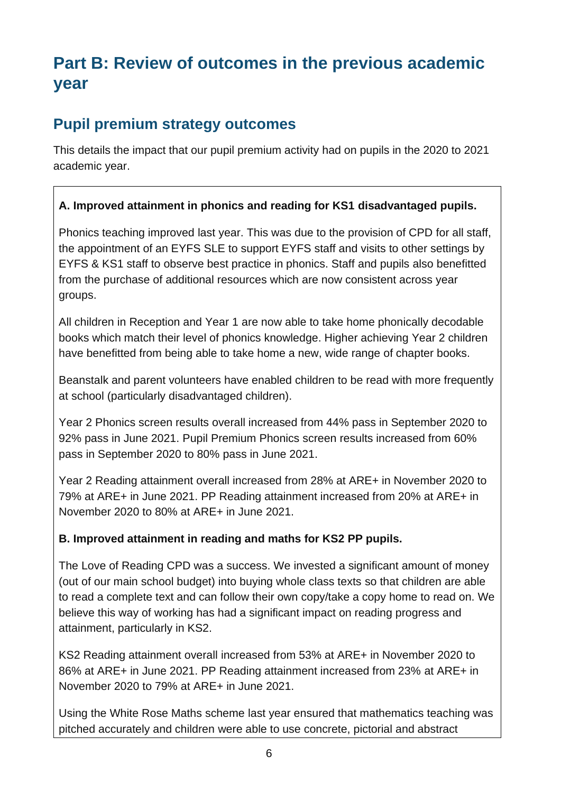# **Part B: Review of outcomes in the previous academic year**

## **Pupil premium strategy outcomes**

This details the impact that our pupil premium activity had on pupils in the 2020 to 2021 academic year.

#### **A. Improved attainment in phonics and reading for KS1 disadvantaged pupils.**

Phonics teaching improved last year. This was due to the provision of CPD for all staff, the appointment of an EYFS SLE to support EYFS staff and visits to other settings by EYFS & KS1 staff to observe best practice in phonics. Staff and pupils also benefitted from the purchase of additional resources which are now consistent across year groups.

All children in Reception and Year 1 are now able to take home phonically decodable books which match their level of phonics knowledge. Higher achieving Year 2 children have benefitted from being able to take home a new, wide range of chapter books.

Beanstalk and parent volunteers have enabled children to be read with more frequently at school (particularly disadvantaged children).

Year 2 Phonics screen results overall increased from 44% pass in September 2020 to 92% pass in June 2021. Pupil Premium Phonics screen results increased from 60% pass in September 2020 to 80% pass in June 2021.

Year 2 Reading attainment overall increased from 28% at ARE+ in November 2020 to 79% at ARE+ in June 2021. PP Reading attainment increased from 20% at ARE+ in November 2020 to 80% at ARE+ in June 2021.

#### **B. Improved attainment in reading and maths for KS2 PP pupils.**

The Love of Reading CPD was a success. We invested a significant amount of money (out of our main school budget) into buying whole class texts so that children are able to read a complete text and can follow their own copy/take a copy home to read on. We believe this way of working has had a significant impact on reading progress and attainment, particularly in KS2.

KS2 Reading attainment overall increased from 53% at ARE+ in November 2020 to 86% at ARE+ in June 2021. PP Reading attainment increased from 23% at ARE+ in November 2020 to 79% at ARE+ in June 2021.

Using the White Rose Maths scheme last year ensured that mathematics teaching was pitched accurately and children were able to use concrete, pictorial and abstract